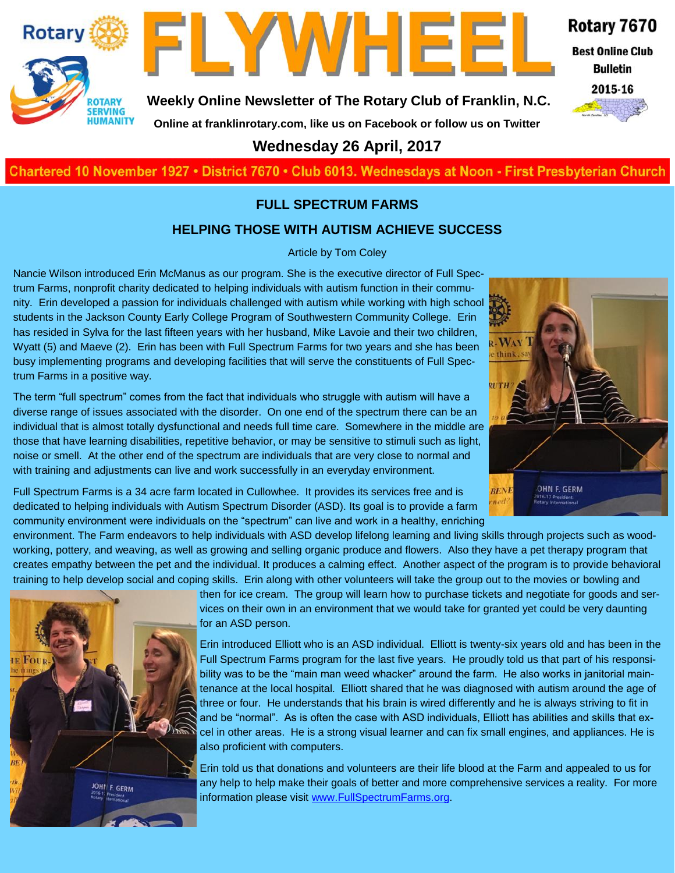

FLYWHEE

**Weekly Online Newsletter of The Rotary Club of Franklin, N.C.**

Rotary 7670

**Best Online Club Bulletin** 



**Online at franklinrotary.com, like us on Facebook or follow us on Twitter Wednesday 26 April, 2017**

**Charted November 29, 1927 • District 7670 • Club 6013 Wednesdays at Noon - First Presbyterian Church**

#### **FULL SPECTRUM FARMS**

#### **HELPING THOSE WITH AUTISM ACHIEVE SUCCESS**

#### Article by Tom Coley

Nancie Wilson introduced Erin McManus as our program. She is the executive director of Full Spectrum Farms, nonprofit charity dedicated to helping individuals with autism function in their community. Erin developed a passion for individuals challenged with autism while working with high school students in the Jackson County Early College Program of Southwestern Community College. Erin has resided in Sylva for the last fifteen years with her husband, Mike Lavoie and their two children, Wyatt (5) and Maeve (2). Erin has been with Full Spectrum Farms for two years and she has been busy implementing programs and developing facilities that will serve the constituents of Full Spectrum Farms in a positive way.

The term "full spectrum" comes from the fact that individuals who struggle with autism will have a diverse range of issues associated with the disorder. On one end of the spectrum there can be an individual that is almost totally dysfunctional and needs full time care. Somewhere in the middle are those that have learning disabilities, repetitive behavior, or may be sensitive to stimuli such as light, noise or smell. At the other end of the spectrum are individuals that are very close to normal and with training and adjustments can live and work successfully in an everyday environment.

Full Spectrum Farms is a 34 acre farm located in Cullowhee. It provides its services free and is dedicated to helping individuals with Autism Spectrum Disorder (ASD). Its goal is to provide a farm community environment were individuals on the "spectrum" can live and work in a healthy, enriching

environment. The Farm endeavors to help individuals with ASD develop lifelong learning and living skills through projects such as woodworking, pottery, and weaving, as well as growing and selling organic produce and flowers. Also they have a pet therapy program that creates empathy between the pet and the individual. It produces a calming effect. Another aspect of the program is to provide behavioral training to help develop social and coping skills. Erin along with other volunteers will take the group out to the movies or bowling and



then for ice cream. The group will learn how to purchase tickets and negotiate for goods and services on their own in an environment that we would take for granted yet could be very daunting for an ASD person.

Erin introduced Elliott who is an ASD individual. Elliott is twenty-six years old and has been in the Full Spectrum Farms program for the last five years. He proudly told us that part of his responsibility was to be the "main man weed whacker" around the farm. He also works in janitorial maintenance at the local hospital. Elliott shared that he was diagnosed with autism around the age of three or four. He understands that his brain is wired differently and he is always striving to fit in and be "normal". As is often the case with ASD individuals, Elliott has abilities and skills that excel in other areas. He is a strong visual learner and can fix small engines, and appliances. He is also proficient with computers.

Erin told us that donations and volunteers are their life blood at the Farm and appealed to us for any help to help make their goals of better and more comprehensive services a reality. For more information please visit [www.FullSpectrumFarms.org.](http://www.FullSpectrumFarms.org) 

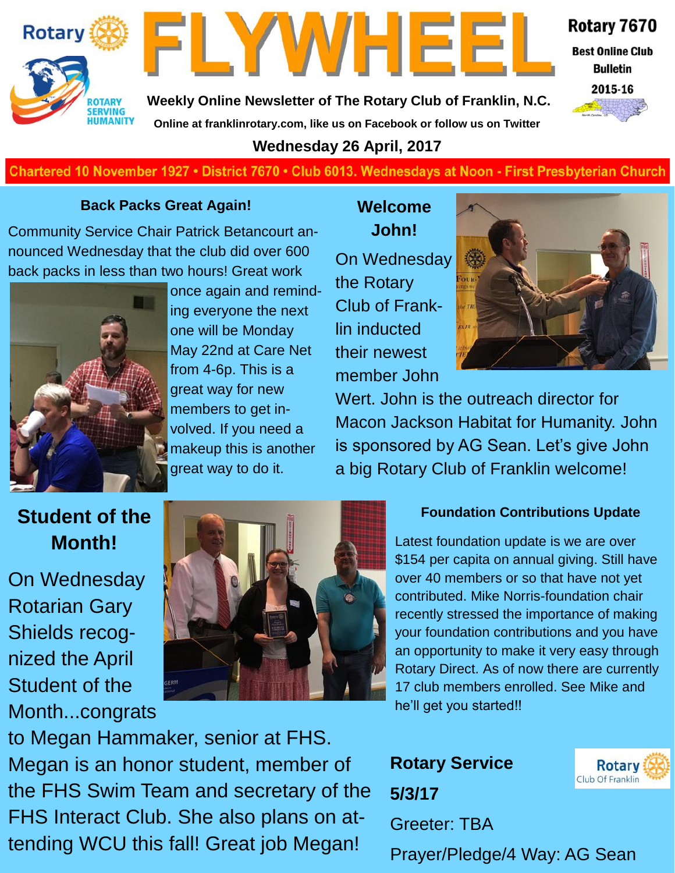



Rotary 7670

**Best Online Club Bulletin** 



**Weekly Online Newsletter of The Rotary Club of Franklin, N.C. Online at franklinrotary.com, like us on Facebook or follow us on Twitter**

### **Wednesday 26 April, 2017**

### **Charted November 29, 1927 • District 7670 • Club 6013 Wednesdays at Noon - First Presbyterian Church**

#### **Back Packs Great Again!**

Community Service Chair Patrick Betancourt announced Wednesday that the club did over 600 back packs in less than two hours! Great work



once again and reminding everyone the next one will be Monday May 22nd at Care Net from 4-6p. This is a great way for new members to get involved. If you need a makeup this is another great way to do it.

## **Welcome John!**

On Wednesday the Rotary Club of Franklin inducted their newest member John



Wert. John is the outreach director for Macon Jackson Habitat for Humanity. John is sponsored by AG Sean. Let's give John a big Rotary Club of Franklin welcome!

## **Student of the Month!**

On Wednesday Rotarian Gary Shields recognized the April Student of the Month...congrats



## to Megan Hammaker, senior at FHS. Megan is an honor student, member of the FHS Swim Team and secretary of the FHS Interact Club. She also plans on attending WCU this fall! Great job Megan!

## **Foundation Contributions Update**

Latest foundation update is we are over \$154 per capita on annual giving. Still have over 40 members or so that have not yet contributed. Mike Norris-foundation chair recently stressed the importance of making your foundation contributions and you have an opportunity to make it very easy through Rotary Direct. As of now there are currently 17 club members enrolled. See Mike and he'll get you started!!

**Rotary Service 5/3/17** Greeter: TBA



Prayer/Pledge/4 Way: AG Sean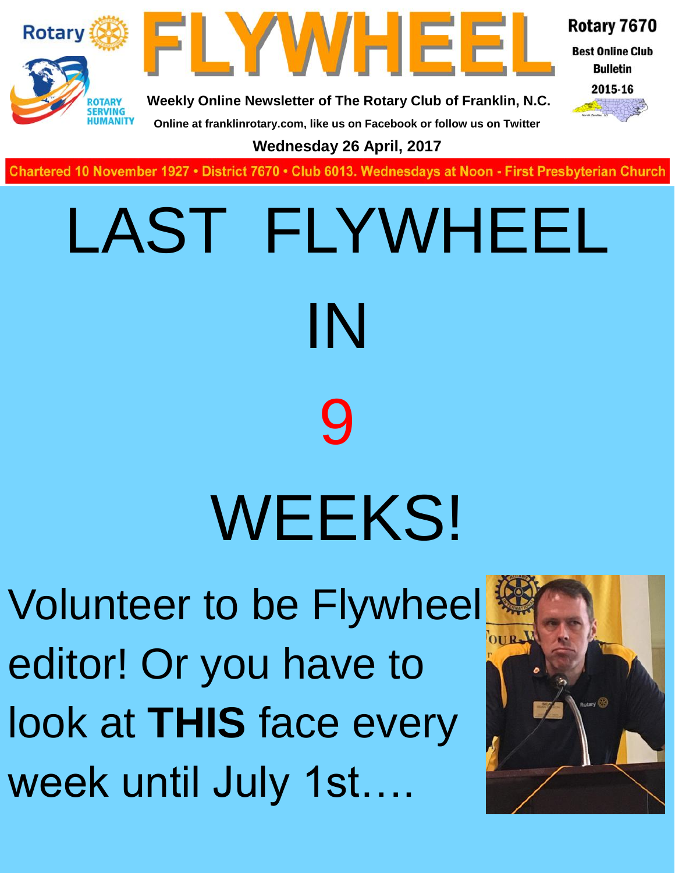



Rotary 7670

**Best Online Club Bulletin** 

2015-16

**Online at franklinrotary.com, like us on Facebook or follow us on Twitter**

**Wednesday 26 April, 2017**

**Charted November 29, 1927 • District 7670 • Club 6013 Wednesdays at Noon - First Presbyterian Church**

# LAST FLYWHEEL IN 9 WEEKS!

Volunteer to be Flywheel editor! Or you have to look at **THIS** face every week until July 1st….

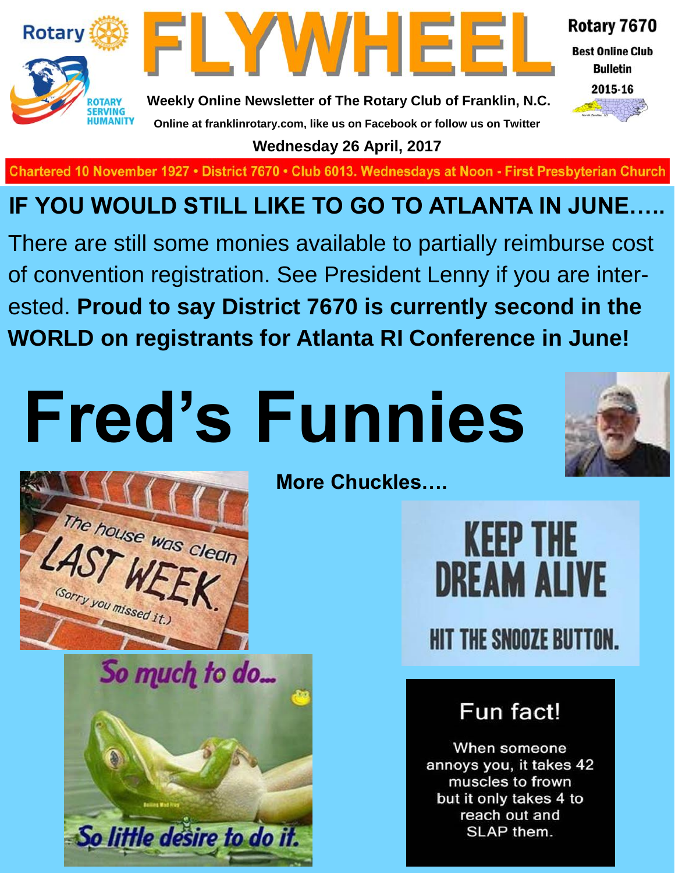



Rotary 7670

**Best Online Club Bulletin** 

2015-16

**Weekly Online Newsletter of The Rotary Club of Franklin, N.C. Online at franklinrotary.com, like us on Facebook or follow us on Twitter**

**Wednesday 26 April, 2017**

Chartered 10 November 1927 • District 7670 • Club 6013. Wednesdays at Noon - First Presbyterian Church

## **IF YOU WOULD STILL LIKE TO GO TO ATLANTA IN JUNE…..**

There are still some monies available to partially reimburse cost of convention registration. See President Lenny if you are interested. **Proud to say District 7670 is currently second in the WORLD on registrants for Atlanta RI Conference in June!**

# **Fred's Funnies**





So much to do... So little desire to do it.

**More Chuckles….**

**KEEP THE DREAM ALIVE HIT THE SNOOZE BUTTON.** 

## Fun fact!

When someone annoys you, it takes 42 muscles to frown but it only takes 4 to reach out and SLAP them.